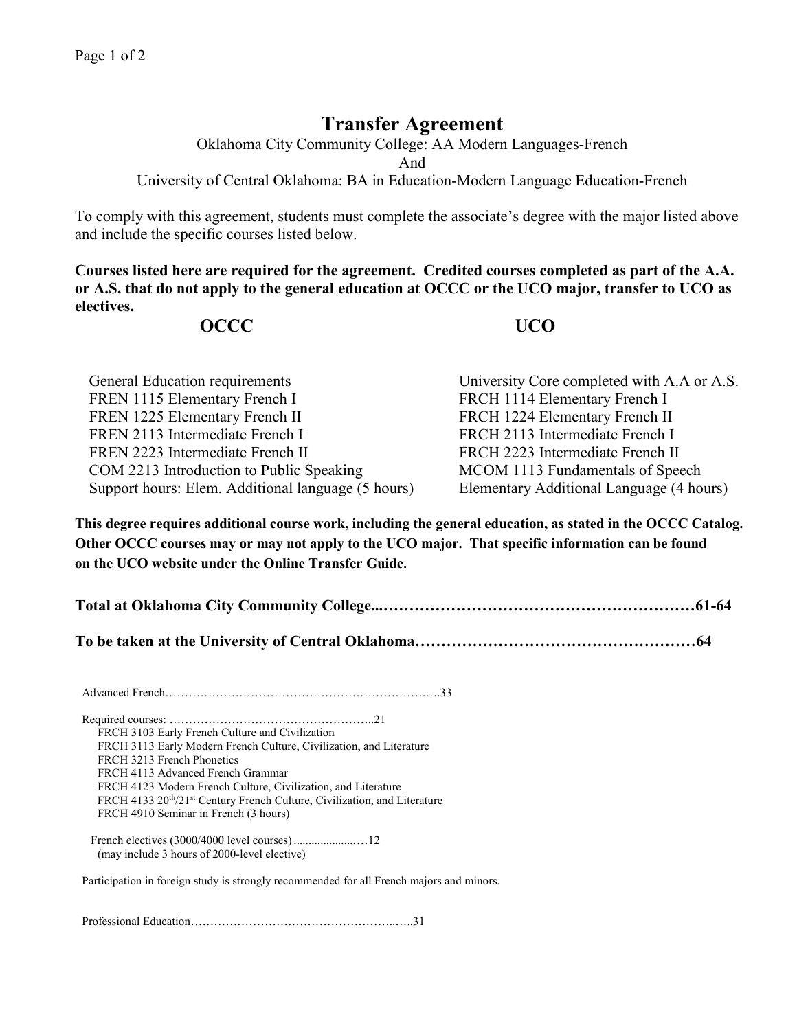## **Transfer Agreement**

Oklahoma City Community College: AA Modern Languages-French

And

University of Central Oklahoma: BA in Education-Modern Language Education-French

To comply with this agreement, students must complete the associate's degree with the major listed above and include the specific courses listed below.

**Courses listed here are required for the agreement. Credited courses completed as part of the A.A. or A.S. that do not apply to the general education at OCCC or the UCO major, transfer to UCO as electives.**

## **OCCC UCO**

| General Education requirements                     | University Core completed with A.A or A.S. |
|----------------------------------------------------|--------------------------------------------|
| FREN 1115 Elementary French I                      | FRCH 1114 Elementary French I              |
| FREN 1225 Elementary French II                     | FRCH 1224 Elementary French II             |
| FREN 2113 Intermediate French I                    | FRCH 2113 Intermediate French I            |
| FREN 2223 Intermediate French II                   | FRCH 2223 Intermediate French II           |
| COM 2213 Introduction to Public Speaking           | MCOM 1113 Fundamentals of Speech           |
| Support hours: Elem. Additional language (5 hours) | Elementary Additional Language (4 hours)   |

**This degree requires additional course work, including the general education, as stated in the OCCC Catalog. Other OCCC courses may or may not apply to the UCO major. That specific information can be found on the UCO website under the Online Transfer Guide.**

**To be taken at the University of Central Oklahoma………………………………………………64**

Advanced French………………………………………………………….….33

Required courses: ……………………………………………..21 FRCH 3103 Early French Culture and Civilization FRCH 3113 Early Modern French Culture, Civilization, and Literature FRCH 3213 French Phonetics FRCH 4113 Advanced French Grammar FRCH 4123 Modern French Culture, Civilization, and Literature FRCH 4133 20<sup>th</sup>/21<sup>st</sup> Century French Culture, Civilization, and Literature FRCH 4910 Seminar in French (3 hours)

 French electives (3000/4000 level courses).....................…12 (may include 3 hours of 2000-level elective)

Participation in foreign study is strongly recommended for all French majors and minors.

Professional Education……………………………………………..…..31